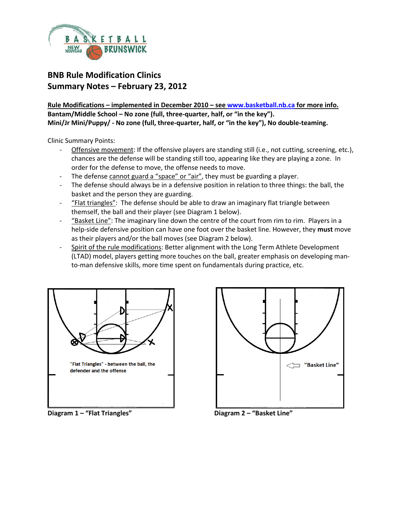

## **BNB Rule Modification Clinics Summary Notes – February 23, 2012**

**Rule Modifications – implemented in December 2010 – se[e www.basketball.nb.ca](http://www.basketball.nb.ca/) for more info. Bantam/Middle School – No zone (full, three-quarter, half, or "in the key"). Mini/Jr Mini/Puppy/ - No zone (full, three-quarter, half, or "in the key"), No double-teaming.**

Clinic Summary Points:

- Offensive movement: If the offensive players are standing still (i.e., not cutting, screening, etc.), chances are the defense will be standing still too, appearing like they are playing a zone. In order for the defense to move, the offense needs to move.
- The defense cannot guard a "space" or "air", they must be guarding a player.
- The defense should always be in a defensive position in relation to three things: the ball, the basket and the person they are guarding.
- "Flat triangles": The defense should be able to draw an imaginary flat triangle between themself, the ball and their player (see Diagram 1 below).
- "Basket Line": The imaginary line down the centre of the court from rim to rim. Players in a help-side defensive position can have one foot over the basket line. However, they **must** move as their players and/or the ball moves (see Diagram 2 below).
- Spirit of the rule modifications: Better alignment with the Long Term Athlete Development (LTAD) model, players getting more touches on the ball, greater emphasis on developing manto-man defensive skills, more time spent on fundamentals during practice, etc.



**Diagram 1 – "Flat Triangles" Diagram 2 – "Basket Line"**